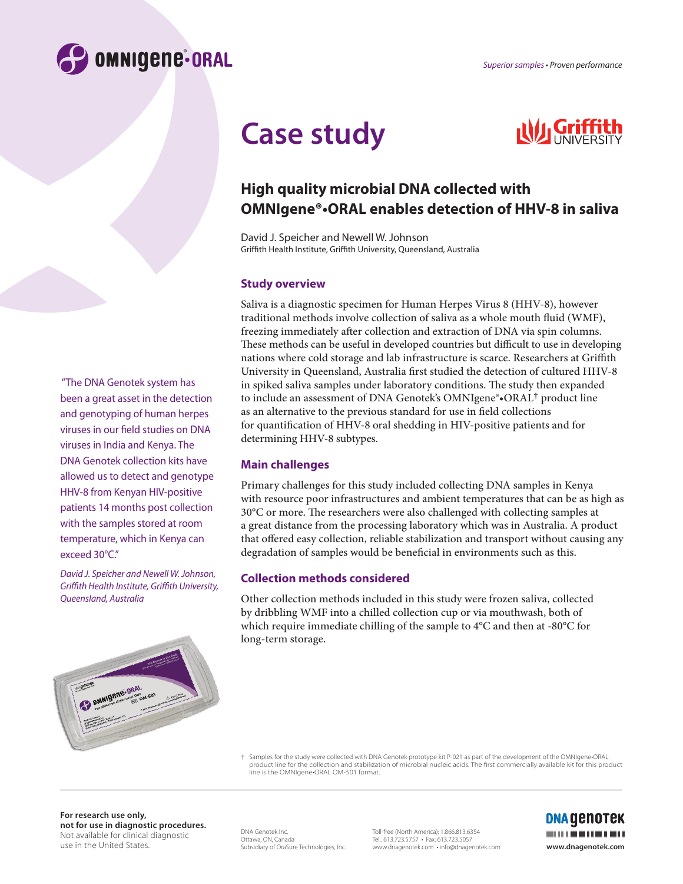

# **Case study**



# **High quality microbial DNA collected with OMNIgene®•ORAL enables detection of HHV-8 in saliva**

David J. Speicher and Newell W. Johnson Griffith Health Institute, Griffith University, Queensland, Australia

#### **Study overview**

Saliva is a diagnostic specimen for Human Herpes Virus 8 (HHV-8), however traditional methods involve collection of saliva as a whole mouth fluid (WMF), freezing immediately after collection and extraction of DNA via spin columns. These methods can be useful in developed countries but difficult to use in developing nations where cold storage and lab infrastructure is scarce. Researchers at Griffith University in Queensland, Australia first studied the detection of cultured HHV-8 in spiked saliva samples under laboratory conditions. The study then expanded to include an assessment of DNA Genotek's OMNIgene®•ORAL† product line as an alternative to the previous standard for use in field collections for quantification of HHV-8 oral shedding in HIV-positive patients and for determining HHV-8 subtypes.

## **Main challenges**

Primary challenges for this study included collecting DNA samples in Kenya with resource poor infrastructures and ambient temperatures that can be as high as  $30^{\circ}$ C or more. The researchers were also challenged with collecting samples at a great distance from the processing laboratory which was in Australia. A product that offered easy collection, reliable stabilization and transport without causing any degradation of samples would be beneficial in environments such as this.

## **Collection methods considered**

Other collection methods included in this study were frozen saliva, collected by dribbling WMF into a chilled collection cup or via mouthwash, both of which require immediate chilling of the sample to 4°C and then at -80°C for long-term storage.

† Samples for the study were collected with DNA Genotek prototype kit P-021 as part of the development of the OMNIgene•ORAL product line for the collection and stabilization of microbial nucleic acids. The first commercially available kit for this product line is the OMNIgene•ORAL OM-501 format.

**For research use only, not for use in diagnostic procedures.**  Not available for clinical diagnostic use in the United States.

DNA Genotek Inc. Ottawa, ON, Canada Subsidiary of OraSure Technologies, Inc. Toll-free (North America): 1.866.813.6354 Tel.: 613.723.5757 • Fax: 613.723.5057 www.dnagenotek.com • info@dnagenotek.com **www.dnagenotek.com**



 "The DNA Genotek system has been a great asset in the detection and genotyping of human herpes viruses in our field studies on DNA viruses in India and Kenya. The DNA Genotek collection kits have allowed us to detect and genotype HHV-8 from Kenyan HIV-positive patients 14 months post collection with the samples stored at room temperature, which in Kenya can exceed 30°C."

*David J. Speicher and Newell W. Johnson, Gri th Health Institute, Gri th University, Queensland, Australia*